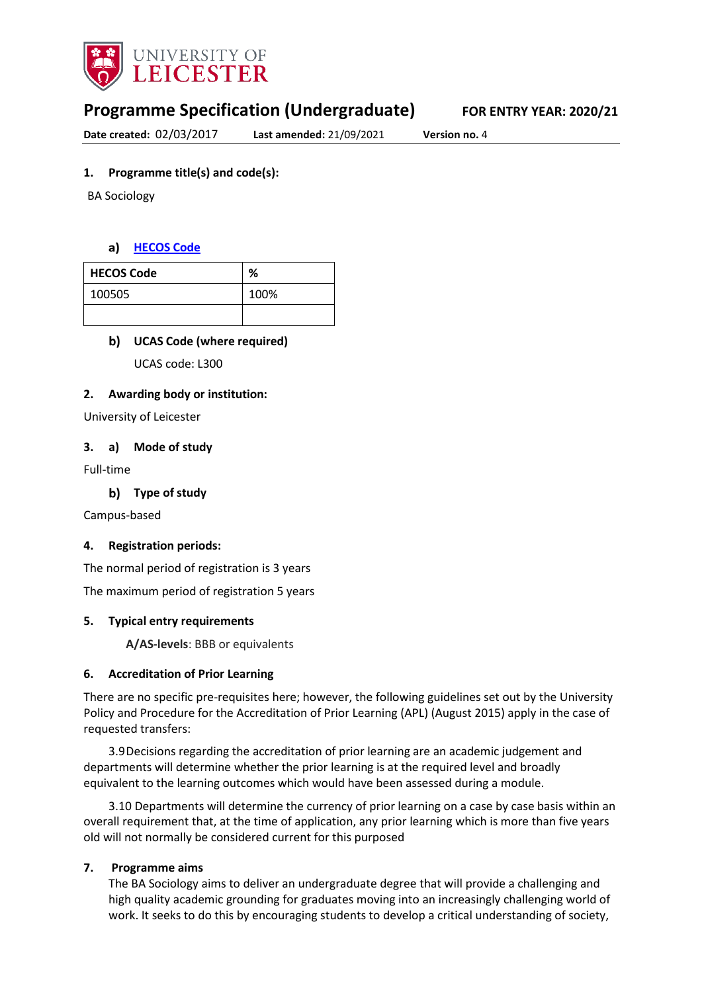

# **Programme Specification (Undergraduate) FOR ENTRY YEAR: 2020/21**

**Date created:** 02/03/2017 **Last amended:** 21/09/2021 **Version no.** 4

### **1. Programme title(s) and code(s):**

BA Sociology

#### **[HECOS Code](https://www.hesa.ac.uk/innovation/hecos)**

| <b>HECOS Code</b> | %    |
|-------------------|------|
| 100505            | 100% |
|                   |      |

#### **UCAS Code (where required)**

UCAS code: L300

#### **2. Awarding body or institution:**

University of Leicester

#### **3. a) Mode of study**

Full-time

**Type of study**

Campus-based

#### **4. Registration periods:**

The normal period of registration is 3 years

The maximum period of registration 5 years

#### **5. Typical entry requirements**

**A/AS-levels**: BBB or equivalents

#### **6. Accreditation of Prior Learning**

There are no specific pre-requisites here; however, the following guidelines set out by the University Policy and Procedure for the Accreditation of Prior Learning (APL) (August 2015) apply in the case of requested transfers:

3.9Decisions regarding the accreditation of prior learning are an academic judgement and departments will determine whether the prior learning is at the required level and broadly equivalent to the learning outcomes which would have been assessed during a module.

3.10 Departments will determine the currency of prior learning on a case by case basis within an overall requirement that, at the time of application, any prior learning which is more than five years old will not normally be considered current for this purposed

#### **7. Programme aims**

The BA Sociology aims to deliver an undergraduate degree that will provide a challenging and high quality academic grounding for graduates moving into an increasingly challenging world of work. It seeks to do this by encouraging students to develop a critical understanding of society,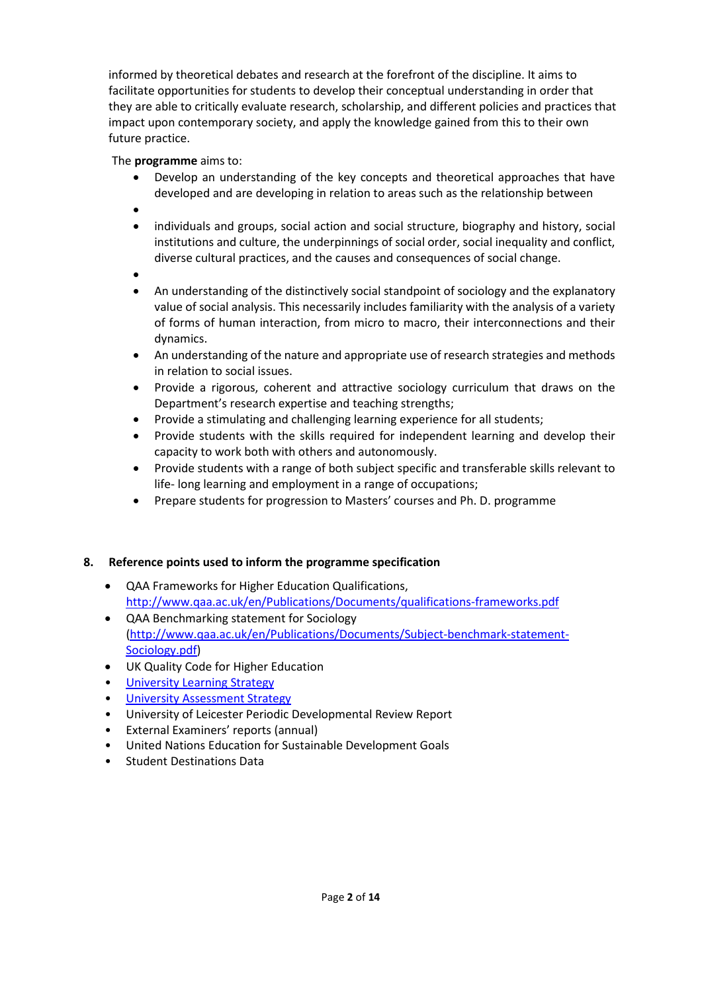informed by theoretical debates and research at the forefront of the discipline. It aims to facilitate opportunities for students to develop their conceptual understanding in order that they are able to critically evaluate research, scholarship, and different policies and practices that impact upon contemporary society, and apply the knowledge gained from this to their own future practice.

## The **programme** aims to:

- Develop an understanding of the key concepts and theoretical approaches that have developed and are developing in relation to areas such as the relationship between
- •
- individuals and groups, social action and social structure, biography and history, social institutions and culture, the underpinnings of social order, social inequality and conflict, diverse cultural practices, and the causes and consequences of social change.
- •
- An understanding of the distinctively social standpoint of sociology and the explanatory value of social analysis. This necessarily includes familiarity with the analysis of a variety of forms of human interaction, from micro to macro, their interconnections and their dynamics.
- An understanding of the nature and appropriate use of research strategies and methods in relation to social issues.
- Provide a rigorous, coherent and attractive sociology curriculum that draws on the Department's research expertise and teaching strengths;
- Provide a stimulating and challenging learning experience for all students;
- Provide students with the skills required for independent learning and develop their capacity to work both with others and autonomously.
- Provide students with a range of both subject specific and transferable skills relevant to life- long learning and employment in a range of occupations;
- Prepare students for progression to Masters' courses and Ph. D. programme

## **8. Reference points used to inform the programme specification**

- QAA Frameworks for Higher Education Qualifications, <http://www.qaa.ac.uk/en/Publications/Documents/qualifications-frameworks.pdf>
- QAA Benchmarking statement for Sociology [\(http://www.qaa.ac.uk/en/Publications/Documents/Subject-benchmark-statement-](http://www.qaa.ac.uk/en/Publications/Documents/Subject-benchmark-statement-Sociology.pdf)[Sociology.pdf\)](http://www.qaa.ac.uk/en/Publications/Documents/Subject-benchmark-statement-Sociology.pdf)
- UK Quality Code for Higher Education
- University Learnin[g Strategy](https://www2.le.ac.uk/offices/sas2/quality/learnteach)
- [University Assessment Strategy](https://www2.le.ac.uk/offices/sas2/quality/learnteach)
- University of Leicester Periodic Developmental Review Report
- External Examiners' reports (annual)
- United Nations Education for Sustainable Development Goals
- Student Destinations Data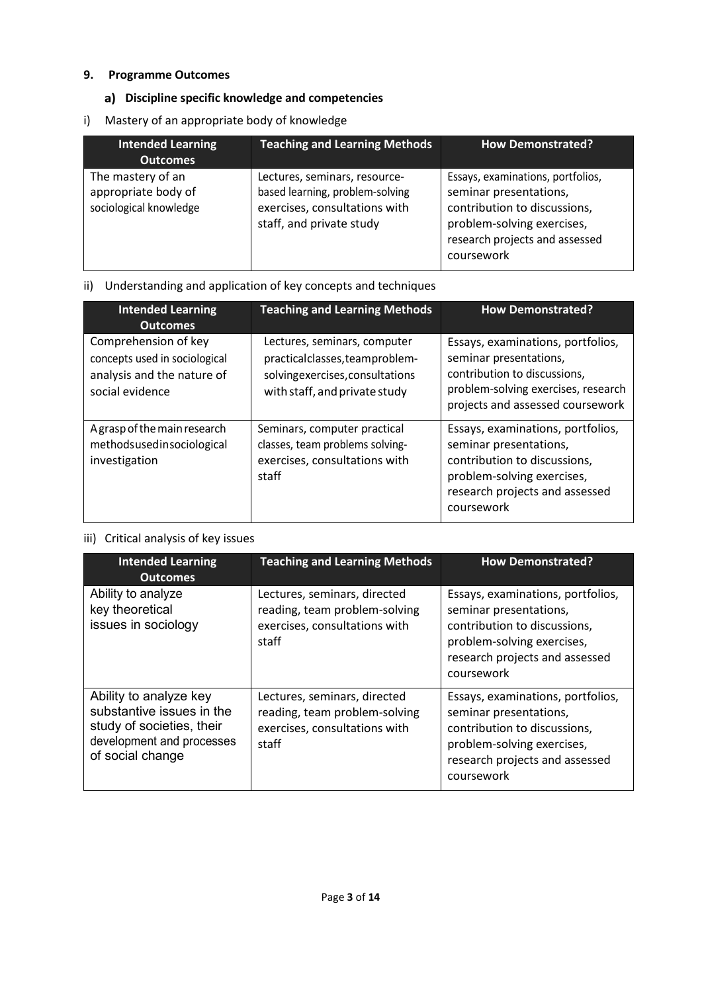### **9. Programme Outcomes**

## **Discipline specific knowledge and competencies**

i) Mastery of an appropriate body of knowledge

| <b>Intended Learning</b><br><b>Outcomes</b>                        | <b>Teaching and Learning Methods</b>                                                                                          | <b>How Demonstrated?</b>                                                                                                                                                  |
|--------------------------------------------------------------------|-------------------------------------------------------------------------------------------------------------------------------|---------------------------------------------------------------------------------------------------------------------------------------------------------------------------|
| The mastery of an<br>appropriate body of<br>sociological knowledge | Lectures, seminars, resource-<br>based learning, problem-solving<br>exercises, consultations with<br>staff, and private study | Essays, examinations, portfolios,<br>seminar presentations,<br>contribution to discussions,<br>problem-solving exercises,<br>research projects and assessed<br>coursework |

## ii) Understanding and application of key concepts and techniques

| <b>Intended Learning</b><br><b>Outcomes</b>                                                            | <b>Teaching and Learning Methods</b>                                                                                               | <b>How Demonstrated?</b>                                                                                                                                                  |
|--------------------------------------------------------------------------------------------------------|------------------------------------------------------------------------------------------------------------------------------------|---------------------------------------------------------------------------------------------------------------------------------------------------------------------------|
| Comprehension of key<br>concepts used in sociological<br>analysis and the nature of<br>social evidence | Lectures, seminars, computer<br>practicalclasses, teamproblem-<br>solvingexercises, consultations<br>with staff, and private study | Essays, examinations, portfolios,<br>seminar presentations,<br>contribution to discussions,<br>problem-solving exercises, research<br>projects and assessed coursework    |
| A grasp of the main research<br>methodsusedinsociological<br>investigation                             | Seminars, computer practical<br>classes, team problems solving-<br>exercises, consultations with<br>staff                          | Essays, examinations, portfolios,<br>seminar presentations,<br>contribution to discussions,<br>problem-solving exercises,<br>research projects and assessed<br>coursework |

## iii) Critical analysis of key issues

| <b>Intended Learning</b><br><b>Outcomes</b>                                                                                       | <b>Teaching and Learning Methods</b>                                                                    | <b>How Demonstrated?</b>                                                                                                                                                  |
|-----------------------------------------------------------------------------------------------------------------------------------|---------------------------------------------------------------------------------------------------------|---------------------------------------------------------------------------------------------------------------------------------------------------------------------------|
| Ability to analyze<br>key theoretical<br>issues in sociology                                                                      | Lectures, seminars, directed<br>reading, team problem-solving<br>exercises, consultations with<br>staff | Essays, examinations, portfolios,<br>seminar presentations,<br>contribution to discussions,<br>problem-solving exercises,<br>research projects and assessed<br>coursework |
| Ability to analyze key<br>substantive issues in the<br>study of societies, their<br>development and processes<br>of social change | Lectures, seminars, directed<br>reading, team problem-solving<br>exercises, consultations with<br>staff | Essays, examinations, portfolios,<br>seminar presentations,<br>contribution to discussions,<br>problem-solving exercises,<br>research projects and assessed<br>coursework |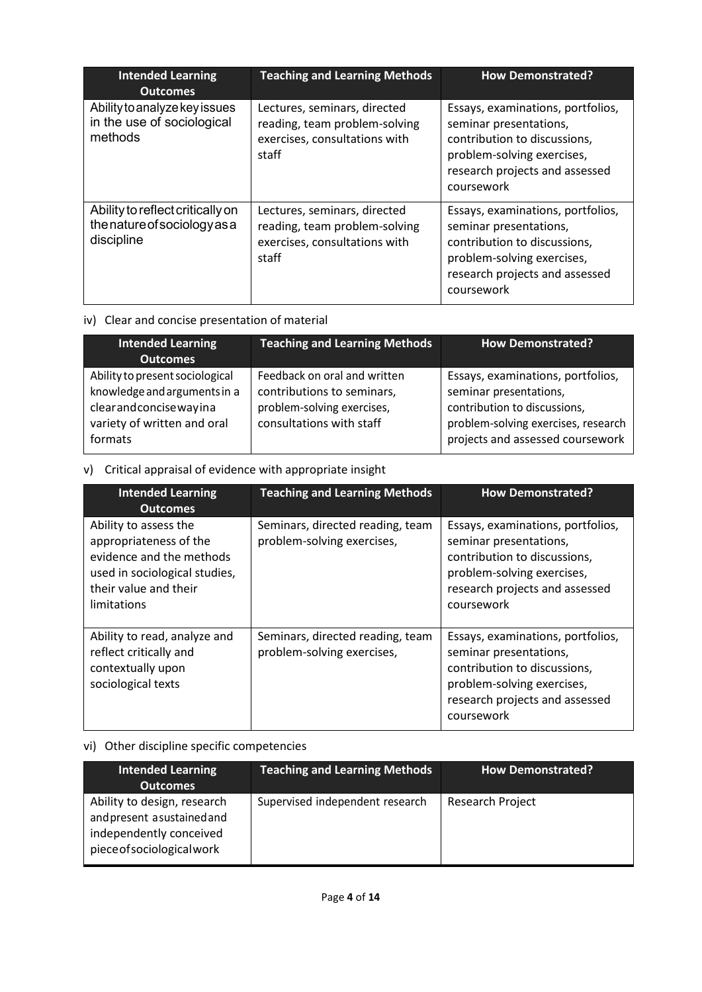| <b>Intended Learning</b><br><b>Outcomes</b>                                    | <b>Teaching and Learning Methods</b>                                                                    | <b>How Demonstrated?</b>                                                                                                                                                  |
|--------------------------------------------------------------------------------|---------------------------------------------------------------------------------------------------------|---------------------------------------------------------------------------------------------------------------------------------------------------------------------------|
| Ability to analyze key issues<br>in the use of sociological<br>methods         | Lectures, seminars, directed<br>reading, team problem-solving<br>exercises, consultations with<br>staff | Essays, examinations, portfolios,<br>seminar presentations,<br>contribution to discussions,<br>problem-solving exercises,<br>research projects and assessed<br>coursework |
| Ability to reflect critically on<br>the nature of sociology as a<br>discipline | Lectures, seminars, directed<br>reading, team problem-solving<br>exercises, consultations with<br>staff | Essays, examinations, portfolios,<br>seminar presentations,<br>contribution to discussions,<br>problem-solving exercises,<br>research projects and assessed<br>coursework |

## iv) Clear and concise presentation of material

| <b>Intended Learning</b><br><b>Outcomes</b>                                                                                        | <b>Teaching and Learning Methods</b>                                                                                 | <b>How Demonstrated?</b>                                                                                                                                               |
|------------------------------------------------------------------------------------------------------------------------------------|----------------------------------------------------------------------------------------------------------------------|------------------------------------------------------------------------------------------------------------------------------------------------------------------------|
| Ability to present sociological<br>knowledge and arguments in a<br>clearandconcisewayina<br>variety of written and oral<br>formats | Feedback on oral and written<br>contributions to seminars,<br>problem-solving exercises,<br>consultations with staff | Essays, examinations, portfolios,<br>seminar presentations,<br>contribution to discussions,<br>problem-solving exercises, research<br>projects and assessed coursework |

## v) Critical appraisal of evidence with appropriate insight

| <b>Intended Learning</b><br><b>Outcomes</b>                                                                                                          | <b>Teaching and Learning Methods</b>                           | <b>How Demonstrated?</b>                                                                                                                                                  |
|------------------------------------------------------------------------------------------------------------------------------------------------------|----------------------------------------------------------------|---------------------------------------------------------------------------------------------------------------------------------------------------------------------------|
| Ability to assess the<br>appropriateness of the<br>evidence and the methods<br>used in sociological studies,<br>their value and their<br>limitations | Seminars, directed reading, team<br>problem-solving exercises, | Essays, examinations, portfolios,<br>seminar presentations,<br>contribution to discussions,<br>problem-solving exercises,<br>research projects and assessed<br>coursework |
| Ability to read, analyze and<br>reflect critically and<br>contextually upon<br>sociological texts                                                    | Seminars, directed reading, team<br>problem-solving exercises, | Essays, examinations, portfolios,<br>seminar presentations,<br>contribution to discussions,<br>problem-solving exercises,<br>research projects and assessed<br>coursework |

## vi) Other discipline specific competencies

| <b>Intended Learning</b><br><b>Outcomes</b>                                                                        | <b>Teaching and Learning Methods</b> | How Demonstrated? |
|--------------------------------------------------------------------------------------------------------------------|--------------------------------------|-------------------|
| Ability to design, research<br>and present asustained and<br>independently conceived<br>piece of sociological work | Supervised independent research      | Research Project  |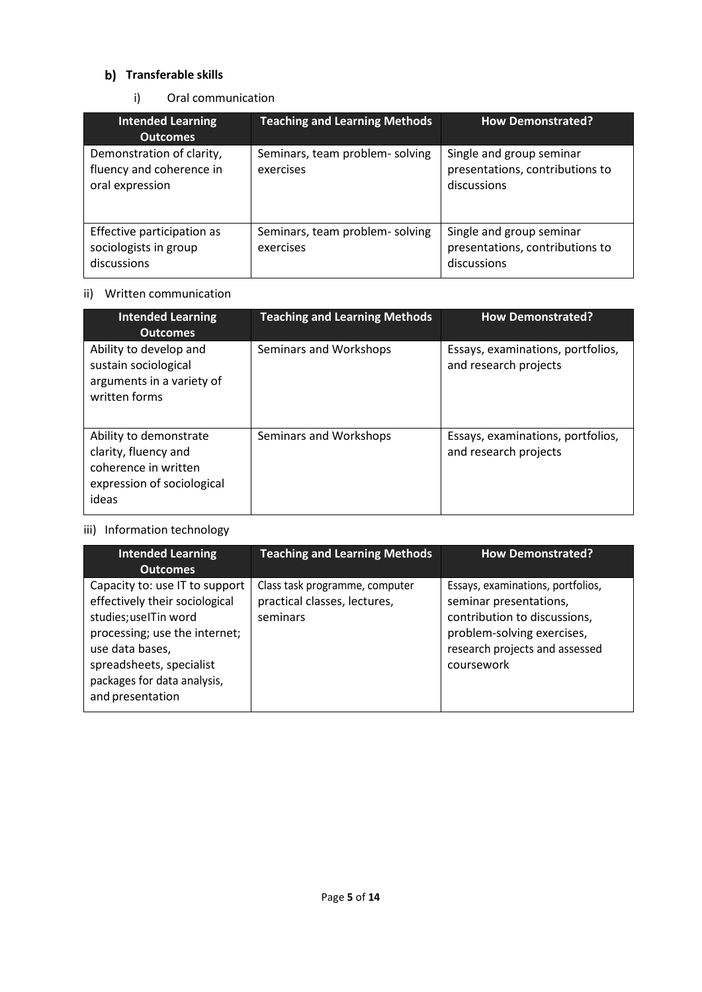## **b)** Transferable skills

i) Oral communication

| <b>Intended Learning</b><br><b>Outcomes</b>                              | <b>Teaching and Learning Methods</b>         | <b>How Demonstrated?</b>                                                   |
|--------------------------------------------------------------------------|----------------------------------------------|----------------------------------------------------------------------------|
| Demonstration of clarity,<br>fluency and coherence in<br>oral expression | Seminars, team problem- solving<br>exercises | Single and group seminar<br>presentations, contributions to<br>discussions |
| Effective participation as<br>sociologists in group<br>discussions       | Seminars, team problem-solving<br>exercises  | Single and group seminar<br>presentations, contributions to<br>discussions |

### ii) Written communication

| <b>Intended Learning</b><br><b>Outcomes</b>                                                                   | <b>Teaching and Learning Methods</b> | <b>How Demonstrated?</b>                                   |
|---------------------------------------------------------------------------------------------------------------|--------------------------------------|------------------------------------------------------------|
| Ability to develop and<br>sustain sociological<br>arguments in a variety of<br>written forms                  | Seminars and Workshops               | Essays, examinations, portfolios,<br>and research projects |
| Ability to demonstrate<br>clarity, fluency and<br>coherence in written<br>expression of sociological<br>ideas | Seminars and Workshops               | Essays, examinations, portfolios,<br>and research projects |

## iii) Information technology

| <b>Intended Learning</b><br><b>Outcomes</b>                                                                                                                                                                                  | <b>Teaching and Learning Methods</b>                                       | <b>How Demonstrated?</b>                                                                                                                                                  |
|------------------------------------------------------------------------------------------------------------------------------------------------------------------------------------------------------------------------------|----------------------------------------------------------------------------|---------------------------------------------------------------------------------------------------------------------------------------------------------------------------|
| Capacity to: use IT to support<br>effectively their sociological<br>studies; useITin word<br>processing; use the internet;<br>use data bases,<br>spreadsheets, specialist<br>packages for data analysis,<br>and presentation | Class task programme, computer<br>practical classes, lectures,<br>seminars | Essays, examinations, portfolios,<br>seminar presentations,<br>contribution to discussions,<br>problem-solving exercises,<br>research projects and assessed<br>coursework |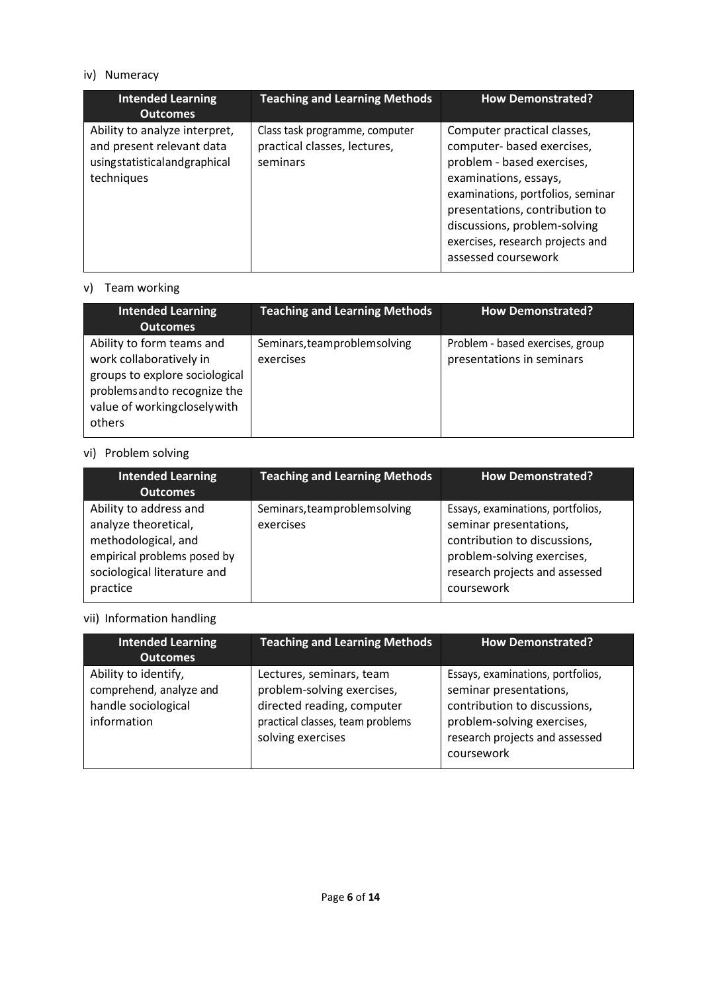## iv) Numeracy

| <b>Intended Learning</b><br><b>Outcomes</b>                                                              | <b>Teaching and Learning Methods</b>                                       | <b>How Demonstrated?</b>                                                                                                                                                                                                                                                           |
|----------------------------------------------------------------------------------------------------------|----------------------------------------------------------------------------|------------------------------------------------------------------------------------------------------------------------------------------------------------------------------------------------------------------------------------------------------------------------------------|
| Ability to analyze interpret,<br>and present relevant data<br>usingstatisticalandgraphical<br>techniques | Class task programme, computer<br>practical classes, lectures,<br>seminars | Computer practical classes,<br>computer- based exercises,<br>problem - based exercises,<br>examinations, essays,<br>examinations, portfolios, seminar<br>presentations, contribution to<br>discussions, problem-solving<br>exercises, research projects and<br>assessed coursework |

### v) Team working

| <b>Intended Learning</b><br><b>Outcomes</b>                                                                                                                       | <b>Teaching and Learning Methods</b>      | <b>How Demonstrated?</b>                                      |
|-------------------------------------------------------------------------------------------------------------------------------------------------------------------|-------------------------------------------|---------------------------------------------------------------|
| Ability to form teams and<br>work collaboratively in<br>groups to explore sociological<br>problems and to recognize the<br>value of workingclosely with<br>others | Seminars, teamproblemsolving<br>exercises | Problem - based exercises, group<br>presentations in seminars |

## vi) Problem solving

| <b>Intended Learning</b><br><b>Outcomes</b>                                                                                                     | <b>Teaching and Learning Methods</b>      | <b>How Demonstrated?</b>                                                                                                                                                  |
|-------------------------------------------------------------------------------------------------------------------------------------------------|-------------------------------------------|---------------------------------------------------------------------------------------------------------------------------------------------------------------------------|
| Ability to address and<br>analyze theoretical,<br>methodological, and<br>empirical problems posed by<br>sociological literature and<br>practice | Seminars, teamproblemsolving<br>exercises | Essays, examinations, portfolios,<br>seminar presentations,<br>contribution to discussions,<br>problem-solving exercises,<br>research projects and assessed<br>coursework |

## vii) Information handling

| <b>Intended Learning</b><br><b>Outcomes</b>                                           | <b>Teaching and Learning Methods</b>                                                                                                          | <b>How Demonstrated?</b>                                                                                                                                                  |
|---------------------------------------------------------------------------------------|-----------------------------------------------------------------------------------------------------------------------------------------------|---------------------------------------------------------------------------------------------------------------------------------------------------------------------------|
| Ability to identify,<br>comprehend, analyze and<br>handle sociological<br>information | Lectures, seminars, team<br>problem-solving exercises,<br>directed reading, computer<br>practical classes, team problems<br>solving exercises | Essays, examinations, portfolios,<br>seminar presentations,<br>contribution to discussions,<br>problem-solving exercises,<br>research projects and assessed<br>coursework |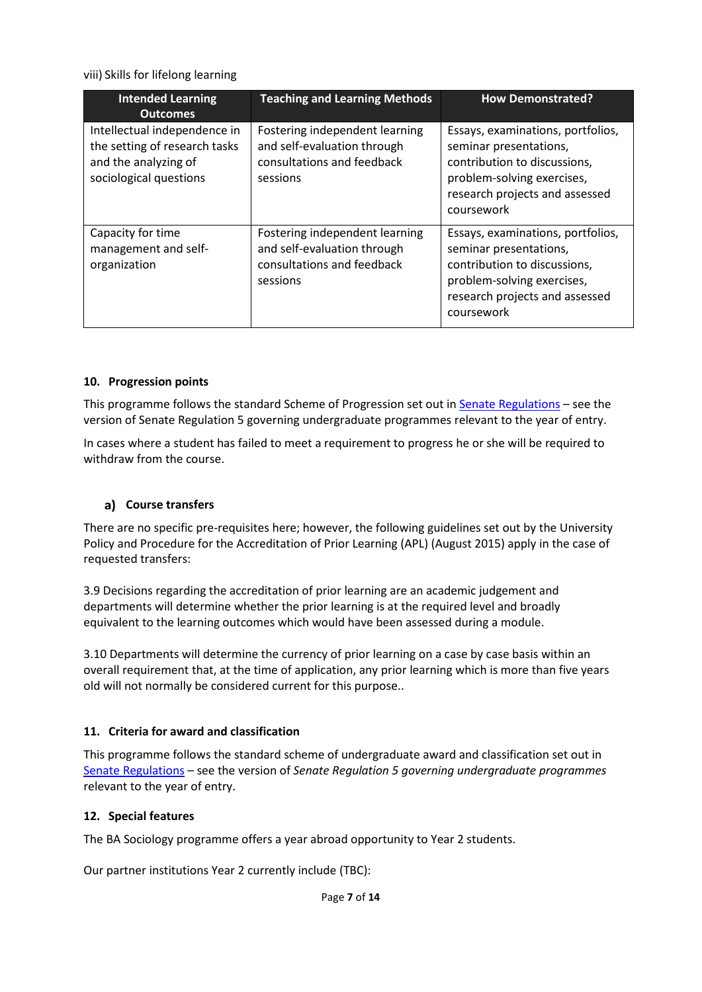viii) Skills for lifelong learning

| <b>Intended Learning</b><br><b>Outcomes</b>                                                                     | <b>Teaching and Learning Methods</b>                                                                    | <b>How Demonstrated?</b>                                                                                                                                                  |
|-----------------------------------------------------------------------------------------------------------------|---------------------------------------------------------------------------------------------------------|---------------------------------------------------------------------------------------------------------------------------------------------------------------------------|
| Intellectual independence in<br>the setting of research tasks<br>and the analyzing of<br>sociological questions | Fostering independent learning<br>and self-evaluation through<br>consultations and feedback<br>sessions | Essays, examinations, portfolios,<br>seminar presentations,<br>contribution to discussions,<br>problem-solving exercises,<br>research projects and assessed<br>coursework |
| Capacity for time<br>management and self-<br>organization                                                       | Fostering independent learning<br>and self-evaluation through<br>consultations and feedback<br>sessions | Essays, examinations, portfolios,<br>seminar presentations,<br>contribution to discussions,<br>problem-solving exercises,<br>research projects and assessed<br>coursework |

#### **10. Progression points**

This programme follows the standard Scheme of Progression set out in **Senate Regulations** - see the version of Senate Regulation 5 governing undergraduate programmes relevant to the year of entry.

In cases where a student has failed to meet a requirement to progress he or she will be required to withdraw from the course.

#### **Course transfers**

There are no specific pre-requisites here; however, the following guidelines set out by the University Policy and Procedure for the Accreditation of Prior Learning (APL) (August 2015) apply in the case of requested transfers:

3.9 Decisions regarding the accreditation of prior learning are an academic judgement and departments will determine whether the prior learning is at the required level and broadly equivalent to the learning outcomes which would have been assessed during a module.

3.10 Departments will determine the currency of prior learning on a case by case basis within an overall requirement that, at the time of application, any prior learning which is more than five years old will not normally be considered current for this purpose..

#### **11. Criteria for award and classification**

This programme follows the standard scheme of undergraduate award and classification set out in [Senate Regulations](http://www.le.ac.uk/senate-regulations) – see the version of *Senate Regulation 5 governing undergraduate programmes* relevant to the year of entry.

#### **12. Special features**

The BA Sociology programme offers a year abroad opportunity to Year 2 students.

Our partner institutions Year 2 currently include (TBC):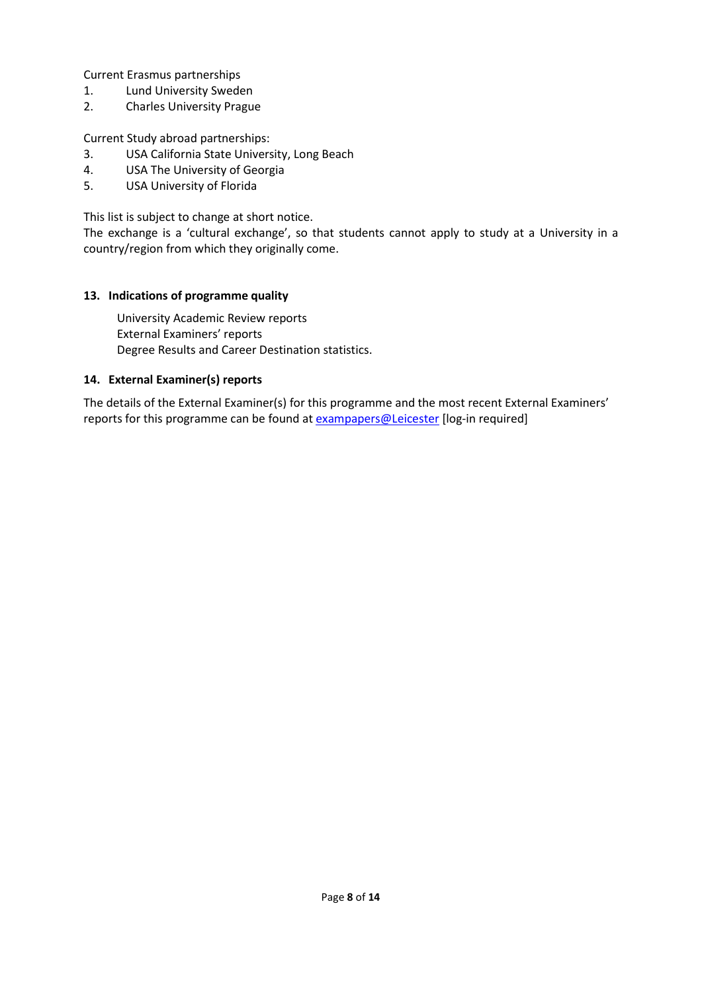Current Erasmus partnerships

- 1. Lund University Sweden
- 2. Charles University Prague

Current Study abroad partnerships:

- 3. USA California State University, Long Beach
- 4. USA The University of Georgia
- 5. USA University of Florida

This list is subject to change at short notice.

The exchange is a 'cultural exchange', so that students cannot apply to study at a University in a country/region from which they originally come.

#### **13. Indications of programme quality**

University Academic Review reports External Examiners' reports Degree Results and Career Destination statistics.

#### **14. External Examiner(s) reports**

The details of the External Examiner(s) for this programme and the most recent External Examiners' reports for this programme can be found at [exampapers@Leicester](https://exampapers.le.ac.uk/) [log-in required]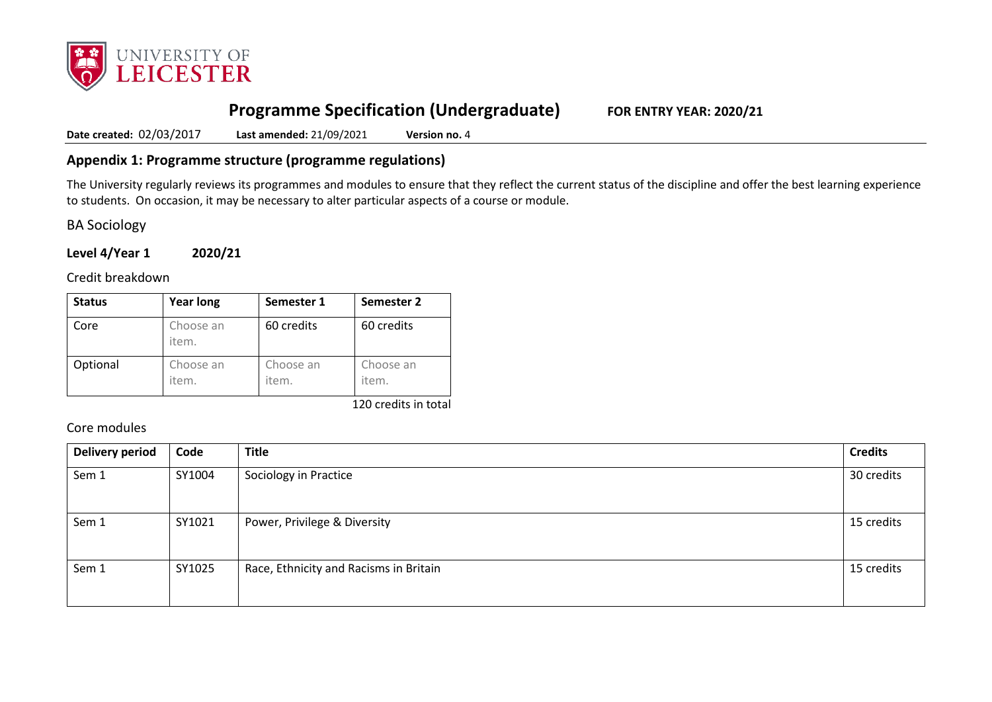

# **Programme Specification (Undergraduate) FOR ENTRY YEAR: 2020/21**

**Date created:** 02/03/2017 **Last amended:** 21/09/2021 **Version no.** 4

## **Appendix 1: Programme structure (programme regulations)**

The University regularly reviews its programmes and modules to ensure that they reflect the current status of the discipline and offer the best learning experience to students. On occasion, it may be necessary to alter particular aspects of a course or module.

BA Sociology

**Level 4/Year 1 2020/21**

Credit breakdown

| <b>Status</b> | <b>Year long</b>   | Semester 1         | Semester 2         |
|---------------|--------------------|--------------------|--------------------|
| Core          | Choose an<br>item. | 60 credits         | 60 credits         |
| Optional      | Choose an<br>item. | Choose an<br>item. | Choose an<br>item. |

120 credits in total

Core modules

| <b>Delivery period</b> | Code   | <b>Title</b>                           | <b>Credits</b> |
|------------------------|--------|----------------------------------------|----------------|
| Sem 1                  | SY1004 | Sociology in Practice                  | 30 credits     |
| Sem 1                  | SY1021 | Power, Privilege & Diversity           | 15 credits     |
| Sem 1                  | SY1025 | Race, Ethnicity and Racisms in Britain | 15 credits     |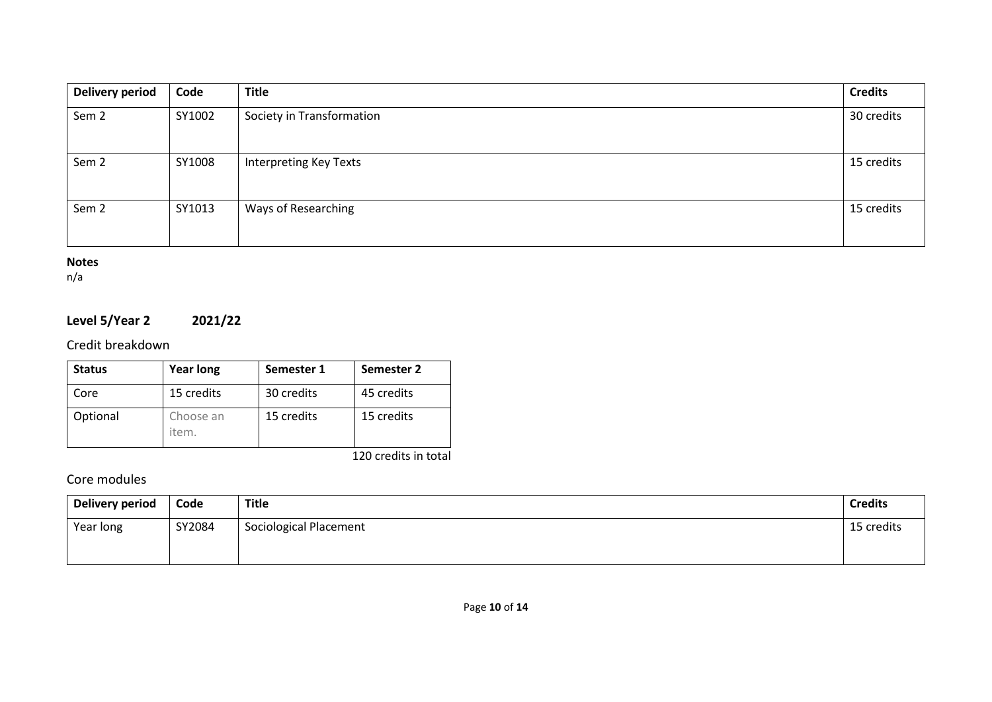| <b>Delivery period</b> | Code   | <b>Title</b>                  | <b>Credits</b> |
|------------------------|--------|-------------------------------|----------------|
| Sem <sub>2</sub>       | SY1002 | Society in Transformation     | 30 credits     |
| Sem <sub>2</sub>       | SY1008 | <b>Interpreting Key Texts</b> | 15 credits     |
| Sem <sub>2</sub>       | SY1013 | Ways of Researching           | 15 credits     |

#### **Notes**

n/a

## **Level 5/Year 2 2021/22**

## Credit breakdown

| <b>Status</b> | <b>Year long</b>   | Semester 1 | Semester 2           |
|---------------|--------------------|------------|----------------------|
| Core          | 15 credits         | 30 credits | 45 credits           |
| Optional      | Choose an<br>item. | 15 credits | 15 credits           |
|               |                    |            | 120 credits in total |

## Core modules

| <b>Delivery period</b> | Code   | Title                  | <b>Credits</b> |
|------------------------|--------|------------------------|----------------|
| Year long              | SY2084 | Sociological Placement | 15 credits     |
|                        |        |                        |                |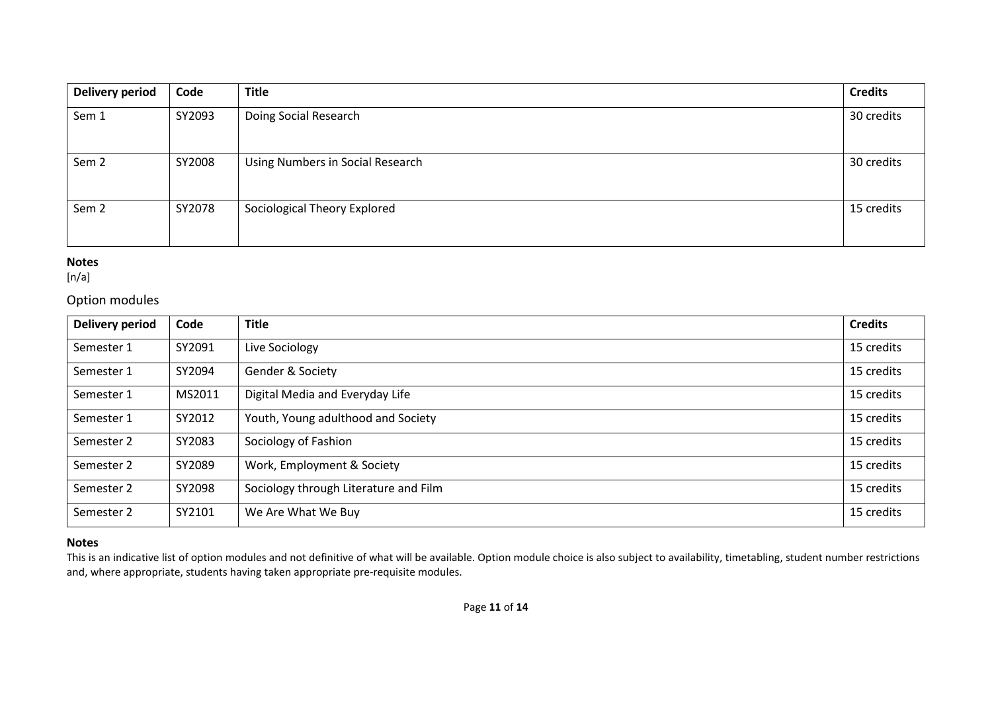| Delivery period  | Code   | <b>Title</b>                     | <b>Credits</b> |
|------------------|--------|----------------------------------|----------------|
| Sem 1            | SY2093 | Doing Social Research            | 30 credits     |
| Sem <sub>2</sub> | SY2008 | Using Numbers in Social Research | 30 credits     |
| Sem <sub>2</sub> | SY2078 | Sociological Theory Explored     | 15 credits     |

#### **Notes**

 $[n/a]$ 

## Option modules

| Delivery period | Code   | <b>Title</b>                          | <b>Credits</b> |
|-----------------|--------|---------------------------------------|----------------|
| Semester 1      | SY2091 | Live Sociology                        | 15 credits     |
| Semester 1      | SY2094 | Gender & Society                      | 15 credits     |
| Semester 1      | MS2011 | Digital Media and Everyday Life       | 15 credits     |
| Semester 1      | SY2012 | Youth, Young adulthood and Society    | 15 credits     |
| Semester 2      | SY2083 | Sociology of Fashion                  | 15 credits     |
| Semester 2      | SY2089 | Work, Employment & Society            | 15 credits     |
| Semester 2      | SY2098 | Sociology through Literature and Film | 15 credits     |
| Semester 2      | SY2101 | We Are What We Buy                    | 15 credits     |

### **Notes**

This is an indicative list of option modules and not definitive of what will be available. Option module choice is also subject to availability, timetabling, student number restrictions and, where appropriate, students having taken appropriate pre-requisite modules.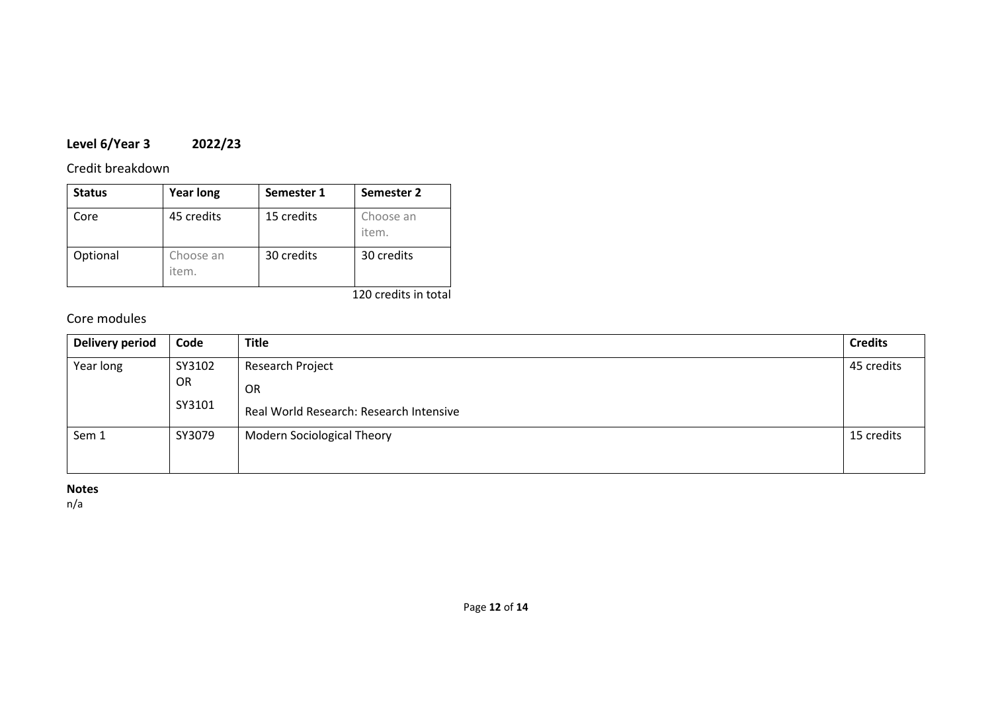# **Level 6/Year 3 2022/23**

## Credit breakdown

| <b>Status</b> | <b>Year long</b>   | Semester 1 | Semester 2         |
|---------------|--------------------|------------|--------------------|
| Core          | 45 credits         | 15 credits | Choose an<br>item. |
| Optional      | Choose an<br>item. | 30 credits | 30 credits         |

#### 120 credits in total

## Core modules

| <b>Delivery period</b> | Code         | <b>Title</b>                            | <b>Credits</b> |
|------------------------|--------------|-----------------------------------------|----------------|
| Year long              | SY3102       | Research Project                        | 45 credits     |
|                        | OR<br>SY3101 | OR                                      |                |
|                        |              | Real World Research: Research Intensive |                |
| Sem 1                  | SY3079       | <b>Modern Sociological Theory</b>       | 15 credits     |
|                        |              |                                         |                |

### **Notes**

n/a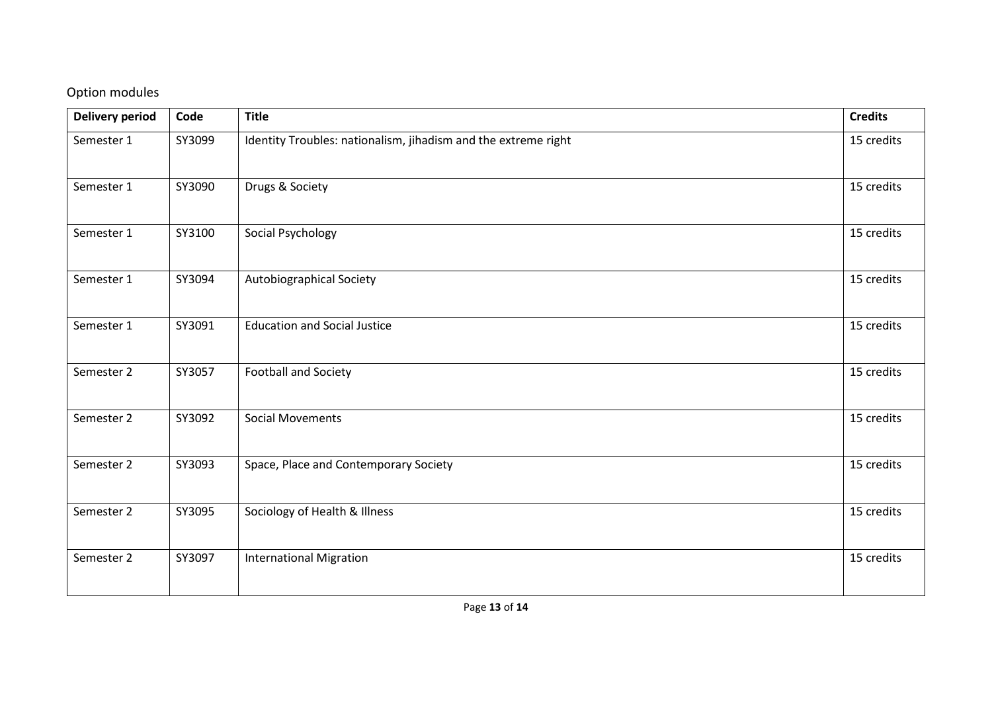# Option modules

| Delivery period | Code   | <b>Title</b>                                                   | <b>Credits</b> |
|-----------------|--------|----------------------------------------------------------------|----------------|
| Semester 1      | SY3099 | Identity Troubles: nationalism, jihadism and the extreme right | 15 credits     |
| Semester 1      | SY3090 | Drugs & Society                                                | 15 credits     |
| Semester 1      | SY3100 | Social Psychology                                              | 15 credits     |
| Semester 1      | SY3094 | Autobiographical Society                                       | 15 credits     |
| Semester 1      | SY3091 | <b>Education and Social Justice</b>                            | 15 credits     |
| Semester 2      | SY3057 | <b>Football and Society</b>                                    | 15 credits     |
| Semester 2      | SY3092 | <b>Social Movements</b>                                        | 15 credits     |
| Semester 2      | SY3093 | Space, Place and Contemporary Society                          | 15 credits     |
| Semester 2      | SY3095 | Sociology of Health & Illness                                  | 15 credits     |
| Semester 2      | SY3097 | <b>International Migration</b>                                 | 15 credits     |